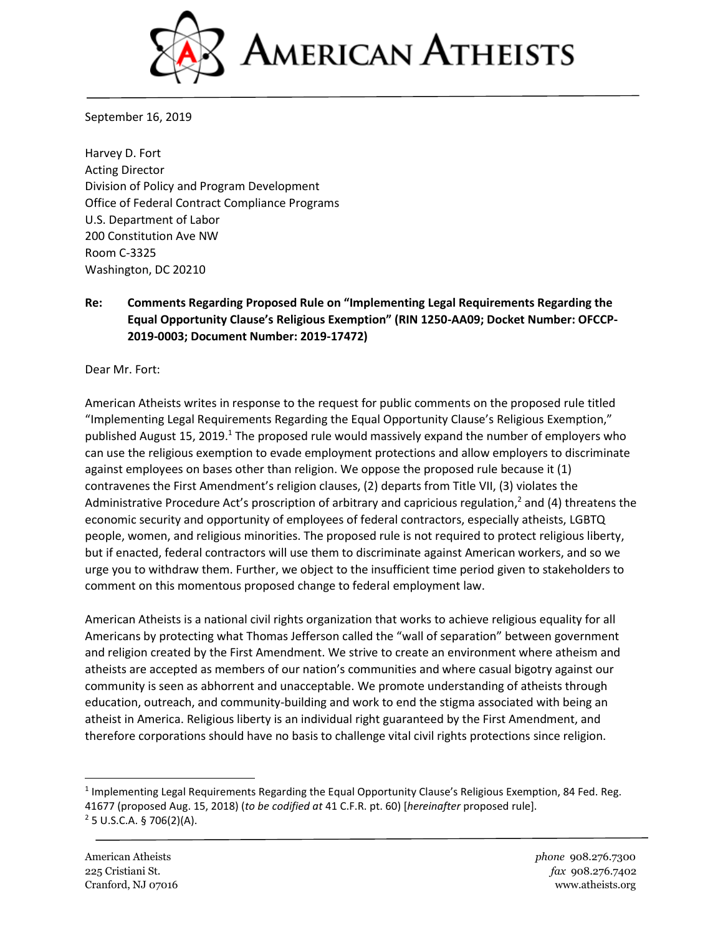

September 16, 2019

Harvey D. Fort Acting Director Division of Policy and Program Development Office of Federal Contract Compliance Programs U.S. Department of Labor 200 Constitution Ave NW Room C-3325 Washington, DC 20210

## **Re: Comments Regarding Proposed Rule on "Implementing Legal Requirements Regarding the Equal Opportunity Clause's Religious Exemption" (RIN 1250-AA09; Docket Number: OFCCP-2019-0003; Document Number: 2019-17472)**

Dear Mr. Fort:

American Atheists writes in response to the request for public comments on the proposed rule titled "Implementing Legal Requirements Regarding the Equal Opportunity Clause's Religious Exemption," published August 15, 2019.<sup>1</sup> The proposed rule would massively expand the number of employers who can use the religious exemption to evade employment protections and allow employers to discriminate against employees on bases other than religion. We oppose the proposed rule because it (1) contravenes the First Amendment's religion clauses, (2) departs from Title VII, (3) violates the Administrative Procedure Act's proscription of arbitrary and capricious regulation,<sup>2</sup> and (4) threatens the economic security and opportunity of employees of federal contractors, especially atheists, LGBTQ people, women, and religious minorities. The proposed rule is not required to protect religious liberty, but if enacted, federal contractors will use them to discriminate against American workers, and so we urge you to withdraw them. Further, we object to the insufficient time period given to stakeholders to comment on this momentous proposed change to federal employment law.

American Atheists is a national civil rights organization that works to achieve religious equality for all Americans by protecting what Thomas Jefferson called the "wall of separation" between government and religion created by the First Amendment. We strive to create an environment where atheism and atheists are accepted as members of our nation's communities and where casual bigotry against our community is seen as abhorrent and unacceptable. We promote understanding of atheists through education, outreach, and community-building and work to end the stigma associated with being an atheist in America. Religious liberty is an individual right guaranteed by the First Amendment, and therefore corporations should have no basis to challenge vital civil rights protections since religion.

<sup>&</sup>lt;sup>1</sup> Implementing Legal Requirements Regarding the Equal Opportunity Clause's Religious Exemption, 84 Fed. Reg. 41677 (proposed Aug. 15, 2018) (*to be codified at* 41 C.F.R. pt. 60) [*hereinafter* proposed rule].  $2$  5 U.S.C.A. § 706(2)(A).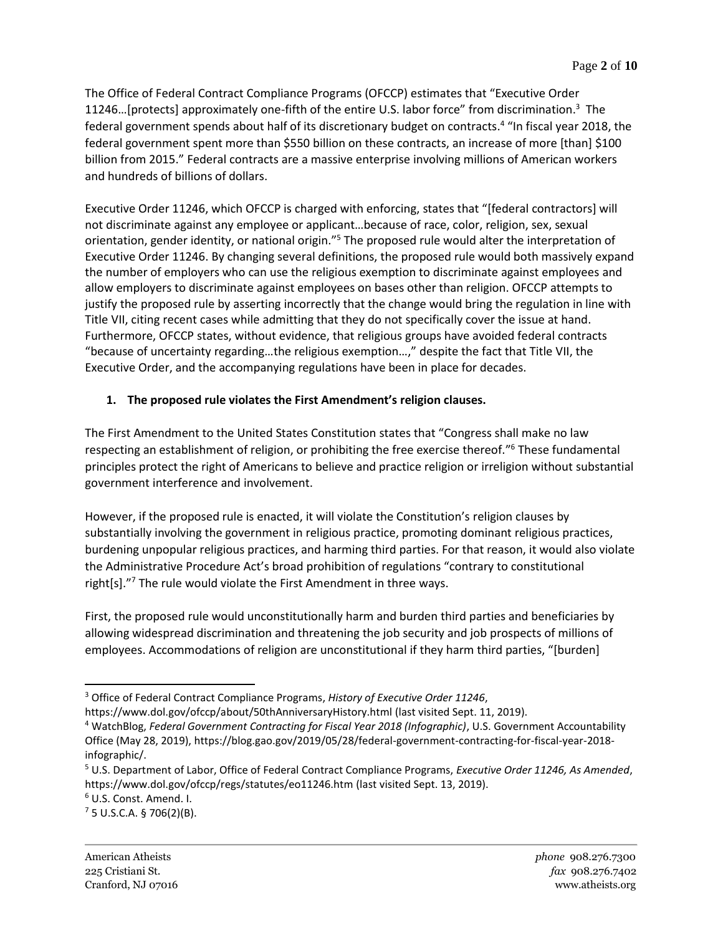The Office of Federal Contract Compliance Programs (OFCCP) estimates that "Executive Order 11246…[protects] approximately one-fifth of the entire U.S. labor force" from discrimination. <sup>3</sup> The federal government spends about half of its discretionary budget on contracts. 4 "In fiscal year 2018, the federal government spent more than \$550 billion on these contracts, an increase of more [than] \$100 billion from 2015." Federal contracts are a massive enterprise involving millions of American workers and hundreds of billions of dollars.

Executive Order 11246, which OFCCP is charged with enforcing, states that "[federal contractors] will not discriminate against any employee or applicant…because of race, color, religion, sex, sexual orientation, gender identity, or national origin."<sup>5</sup> The proposed rule would alter the interpretation of Executive Order 11246. By changing several definitions, the proposed rule would both massively expand the number of employers who can use the religious exemption to discriminate against employees and allow employers to discriminate against employees on bases other than religion. OFCCP attempts to justify the proposed rule by asserting incorrectly that the change would bring the regulation in line with Title VII, citing recent cases while admitting that they do not specifically cover the issue at hand. Furthermore, OFCCP states, without evidence, that religious groups have avoided federal contracts "because of uncertainty regarding…the religious exemption…," despite the fact that Title VII, the Executive Order, and the accompanying regulations have been in place for decades.

# **1. The proposed rule violates the First Amendment's religion clauses.**

The First Amendment to the United States Constitution states that "Congress shall make no law respecting an establishment of religion, or prohibiting the free exercise thereof."<sup>6</sup> These fundamental principles protect the right of Americans to believe and practice religion or irreligion without substantial government interference and involvement.

However, if the proposed rule is enacted, it will violate the Constitution's religion clauses by substantially involving the government in religious practice, promoting dominant religious practices, burdening unpopular religious practices, and harming third parties. For that reason, it would also violate the Administrative Procedure Act's broad prohibition of regulations "contrary to constitutional right[s]."<sup>7</sup> The rule would violate the First Amendment in three ways.

First, the proposed rule would unconstitutionally harm and burden third parties and beneficiaries by allowing widespread discrimination and threatening the job security and job prospects of millions of employees. Accommodations of religion are unconstitutional if they harm third parties, "[burden]

<sup>6</sup> U.S. Const. Amend. I.

 $7$  5 U.S.C.A. § 706(2)(B).

<sup>3</sup> Office of Federal Contract Compliance Programs, *History of Executive Order 11246*,

https://www.dol.gov/ofccp/about/50thAnniversaryHistory.html (last visited Sept. 11, 2019).

<sup>4</sup> WatchBlog, *Federal Government Contracting for Fiscal Year 2018 (Infographic)*, U.S. Government Accountability Office (May 28, 2019), https://blog.gao.gov/2019/05/28/federal-government-contracting-for-fiscal-year-2018 infographic/.

<sup>5</sup> U.S. Department of Labor, Office of Federal Contract Compliance Programs, *Executive Order 11246, As Amended*, https://www.dol.gov/ofccp/regs/statutes/eo11246.htm (last visited Sept. 13, 2019).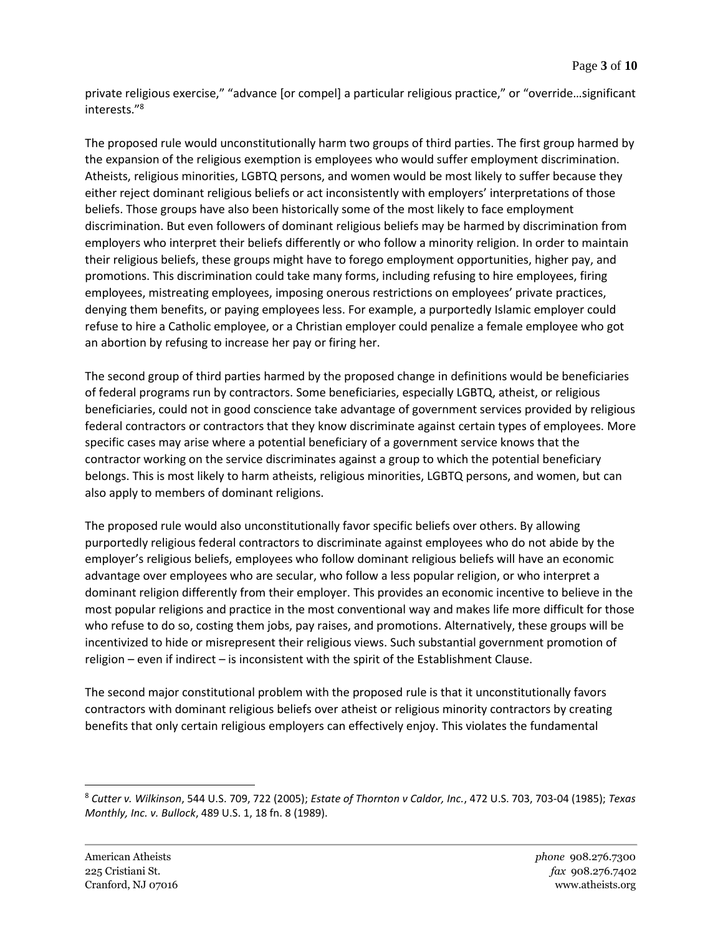private religious exercise," "advance [or compel] a particular religious practice," or "override…significant interests." 8

The proposed rule would unconstitutionally harm two groups of third parties. The first group harmed by the expansion of the religious exemption is employees who would suffer employment discrimination. Atheists, religious minorities, LGBTQ persons, and women would be most likely to suffer because they either reject dominant religious beliefs or act inconsistently with employers' interpretations of those beliefs. Those groups have also been historically some of the most likely to face employment discrimination. But even followers of dominant religious beliefs may be harmed by discrimination from employers who interpret their beliefs differently or who follow a minority religion. In order to maintain their religious beliefs, these groups might have to forego employment opportunities, higher pay, and promotions. This discrimination could take many forms, including refusing to hire employees, firing employees, mistreating employees, imposing onerous restrictions on employees' private practices, denying them benefits, or paying employees less. For example, a purportedly Islamic employer could refuse to hire a Catholic employee, or a Christian employer could penalize a female employee who got an abortion by refusing to increase her pay or firing her.

The second group of third parties harmed by the proposed change in definitions would be beneficiaries of federal programs run by contractors. Some beneficiaries, especially LGBTQ, atheist, or religious beneficiaries, could not in good conscience take advantage of government services provided by religious federal contractors or contractors that they know discriminate against certain types of employees. More specific cases may arise where a potential beneficiary of a government service knows that the contractor working on the service discriminates against a group to which the potential beneficiary belongs. This is most likely to harm atheists, religious minorities, LGBTQ persons, and women, but can also apply to members of dominant religions.

The proposed rule would also unconstitutionally favor specific beliefs over others. By allowing purportedly religious federal contractors to discriminate against employees who do not abide by the employer's religious beliefs, employees who follow dominant religious beliefs will have an economic advantage over employees who are secular, who follow a less popular religion, or who interpret a dominant religion differently from their employer. This provides an economic incentive to believe in the most popular religions and practice in the most conventional way and makes life more difficult for those who refuse to do so, costing them jobs, pay raises, and promotions. Alternatively, these groups will be incentivized to hide or misrepresent their religious views. Such substantial government promotion of religion – even if indirect – is inconsistent with the spirit of the Establishment Clause.

The second major constitutional problem with the proposed rule is that it unconstitutionally favors contractors with dominant religious beliefs over atheist or religious minority contractors by creating benefits that only certain religious employers can effectively enjoy. This violates the fundamental

<sup>8</sup> *Cutter v. Wilkinson*, 544 U.S. 709, 722 (2005); *Estate of Thornton v Caldor, Inc.*, 472 U.S. 703, 703-04 (1985); *Texas Monthly, Inc. v. Bullock*, 489 U.S. 1, 18 fn. 8 (1989).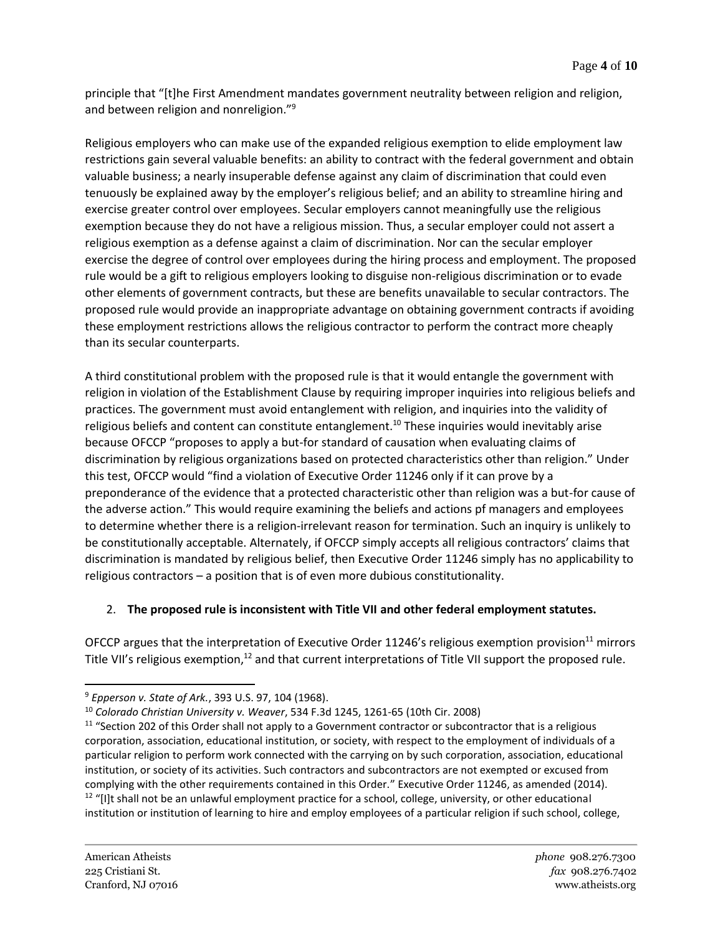principle that "[t]he First Amendment mandates government neutrality between religion and religion, and between religion and nonreligion."<sup>9</sup>

Religious employers who can make use of the expanded religious exemption to elide employment law restrictions gain several valuable benefits: an ability to contract with the federal government and obtain valuable business; a nearly insuperable defense against any claim of discrimination that could even tenuously be explained away by the employer's religious belief; and an ability to streamline hiring and exercise greater control over employees. Secular employers cannot meaningfully use the religious exemption because they do not have a religious mission. Thus, a secular employer could not assert a religious exemption as a defense against a claim of discrimination. Nor can the secular employer exercise the degree of control over employees during the hiring process and employment. The proposed rule would be a gift to religious employers looking to disguise non-religious discrimination or to evade other elements of government contracts, but these are benefits unavailable to secular contractors. The proposed rule would provide an inappropriate advantage on obtaining government contracts if avoiding these employment restrictions allows the religious contractor to perform the contract more cheaply than its secular counterparts.

A third constitutional problem with the proposed rule is that it would entangle the government with religion in violation of the Establishment Clause by requiring improper inquiries into religious beliefs and practices. The government must avoid entanglement with religion, and inquiries into the validity of religious beliefs and content can constitute entanglement.<sup>10</sup> These inquiries would inevitably arise because OFCCP "proposes to apply a but-for standard of causation when evaluating claims of discrimination by religious organizations based on protected characteristics other than religion." Under this test, OFCCP would "find a violation of Executive Order 11246 only if it can prove by a preponderance of the evidence that a protected characteristic other than religion was a but-for cause of the adverse action." This would require examining the beliefs and actions pf managers and employees to determine whether there is a religion-irrelevant reason for termination. Such an inquiry is unlikely to be constitutionally acceptable. Alternately, if OFCCP simply accepts all religious contractors' claims that discrimination is mandated by religious belief, then Executive Order 11246 simply has no applicability to religious contractors – a position that is of even more dubious constitutionality.

## 2. **The proposed rule is inconsistent with Title VII and other federal employment statutes.**

OFCCP argues that the interpretation of Executive Order 11246's religious exemption provision $11$  mirrors Title VII's religious exemption,<sup>12</sup> and that current interpretations of Title VII support the proposed rule.

<sup>9</sup> *Epperson v. State of Ark.*, 393 U.S. 97, 104 (1968).

<sup>10</sup> *Colorado Christian University v. Weaver*, 534 F.3d 1245, 1261-65 (10th Cir. 2008)

<sup>&</sup>lt;sup>11</sup> "Section 202 of this Order shall not apply to a Government contractor or subcontractor that is a religious corporation, association, educational institution, or society, with respect to the employment of individuals of a particular religion to perform work connected with the carrying on by such corporation, association, educational institution, or society of its activities. Such contractors and subcontractors are not exempted or excused from complying with the other requirements contained in this Order." Executive Order 11246, as amended (2014). <sup>12</sup> "[I]t shall not be an unlawful employment practice for a school, college, university, or other educational institution or institution of learning to hire and employ employees of a particular religion if such school, college,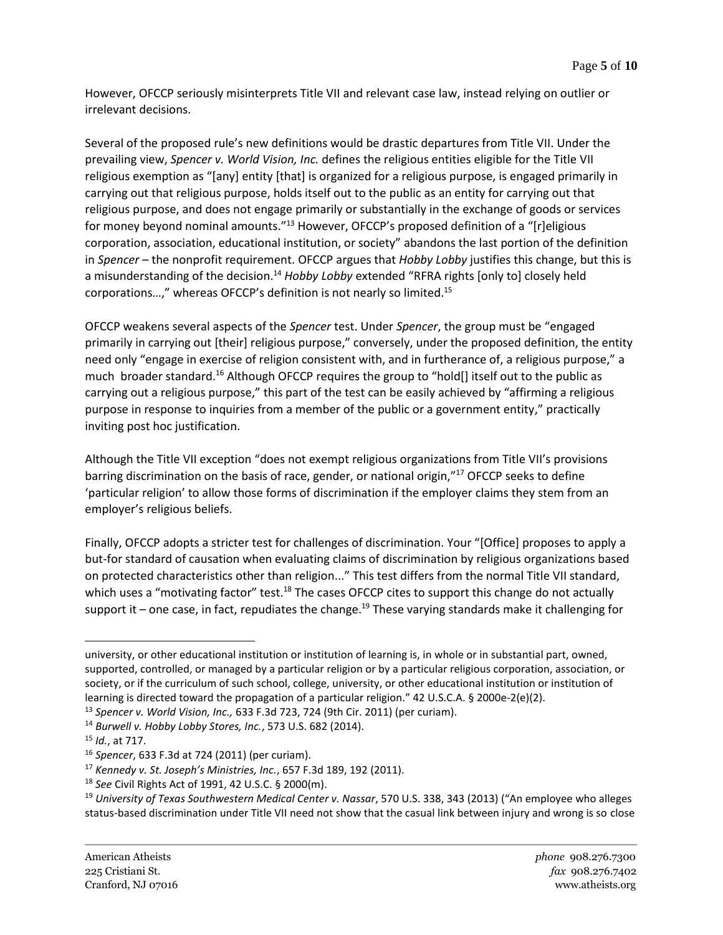However, OFCCP seriously misinterprets Title VII and relevant case law, instead relying on outlier or irrelevant decisions.

Several of the proposed rule's new definitions would be drastic departures from Title VII. Under the prevailing view, *Spencer v. World Vision, Inc.* defines the religious entities eligible for the Title VII religious exemption as "[any] entity [that] is organized for a religious purpose, is engaged primarily in carrying out that religious purpose, holds itself out to the public as an entity for carrying out that religious purpose, and does not engage primarily or substantially in the exchange of goods or services for money beyond nominal amounts."<sup>13</sup> However, OFCCP's proposed definition of a "[r]eligious corporation, association, educational institution, or society" abandons the last portion of the definition in *Spencer* – the nonprofit requirement. OFCCP argues that *Hobby Lobby* justifies this change, but this is a misunderstanding of the decision. <sup>14</sup> *Hobby Lobby* extended "RFRA rights [only to] closely held corporations…," whereas OFCCP's definition is not nearly so limited.<sup>15</sup>

OFCCP weakens several aspects of the *Spencer* test. Under *Spencer*, the group must be "engaged primarily in carrying out [their] religious purpose," conversely, under the proposed definition, the entity need only "engage in exercise of religion consistent with, and in furtherance of, a religious purpose," a much broader standard.<sup>16</sup> Although OFCCP requires the group to "hold[] itself out to the public as carrying out a religious purpose," this part of the test can be easily achieved by "affirming a religious purpose in response to inquiries from a member of the public or a government entity," practically inviting post hoc justification.

Although the Title VII exception "does not exempt religious organizations from Title VII's provisions barring discrimination on the basis of race, gender, or national origin,"<sup>17</sup> OFCCP seeks to define 'particular religion' to allow those forms of discrimination if the employer claims they stem from an employer's religious beliefs.

Finally, OFCCP adopts a stricter test for challenges of discrimination. Your "[Office] proposes to apply a but-for standard of causation when evaluating claims of discrimination by religious organizations based on protected characteristics other than religion..." This test differs from the normal Title VII standard, which uses a "motivating factor" test.<sup>18</sup> The cases OFCCP cites to support this change do not actually support it – one case, in fact, repudiates the change.<sup>19</sup> These varying standards make it challenging for

university, or other educational institution or institution of learning is, in whole or in substantial part, owned, supported, controlled, or managed by a particular religion or by a particular religious corporation, association, or society, or if the curriculum of such school, college, university, or other educational institution or institution of learning is directed toward the propagation of a particular religion." 42 U.S.C.A. § 2000e-2(e)(2).

<sup>13</sup> *Spencer v. World Vision, Inc.,* 633 F.3d 723, 724 (9th Cir. 2011) (per curiam).

<sup>14</sup> *Burwell v. Hobby Lobby Stores, Inc.*, 573 U.S. 682 (2014).

<sup>15</sup> *Id.*, at 717.

<sup>16</sup> *Spencer*, 633 F.3d at 724 (2011) (per curiam).

<sup>17</sup> *Kennedy v. St. Joseph's Ministries, Inc.*, 657 F.3d 189, 192 (2011).

<sup>18</sup> *See* Civil Rights Act of 1991, 42 U.S.C. § 2000(m).

<sup>19</sup> *University of Texas Southwestern Medical Center v. Nassar*, 570 U.S. 338, 343 (2013) ("An employee who alleges status-based discrimination under Title VII need not show that the casual link between injury and wrong is so close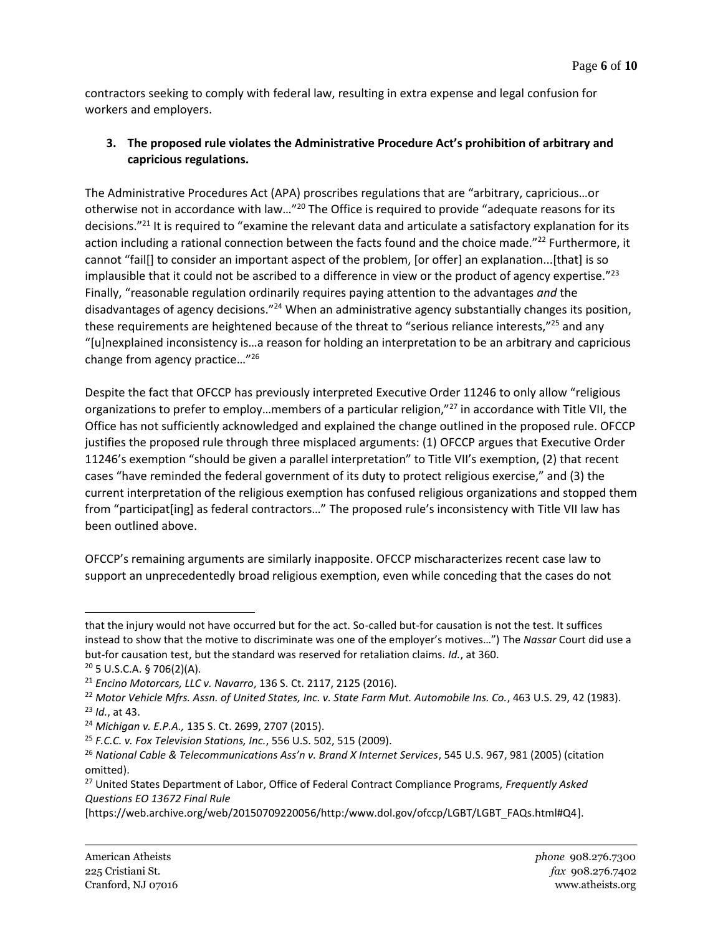contractors seeking to comply with federal law, resulting in extra expense and legal confusion for workers and employers.

## **3. The proposed rule violates the Administrative Procedure Act's prohibition of arbitrary and capricious regulations.**

The Administrative Procedures Act (APA) proscribes regulations that are "arbitrary, capricious…or otherwise not in accordance with law..."<sup>20</sup> The Office is required to provide "adequate reasons for its decisions."<sup>21</sup> It is required to "examine the relevant data and articulate a satisfactory explanation for its action including a rational connection between the facts found and the choice made."<sup>22</sup> Furthermore, it cannot "fail[] to consider an important aspect of the problem, [or offer] an explanation...[that] is so implausible that it could not be ascribed to a difference in view or the product of agency expertise." $^{23}$ Finally, "reasonable regulation ordinarily requires paying attention to the advantages *and* the disadvantages of agency decisions."<sup>24</sup> When an administrative agency substantially changes its position, these requirements are heightened because of the threat to "serious reliance interests,"<sup>25</sup> and any "[u]nexplained inconsistency is…a reason for holding an interpretation to be an arbitrary and capricious change from agency practice…"<sup>26</sup>

Despite the fact that OFCCP has previously interpreted Executive Order 11246 to only allow "religious organizations to prefer to employ...members of a particular religion,"<sup>27</sup> in accordance with Title VII, the Office has not sufficiently acknowledged and explained the change outlined in the proposed rule. OFCCP justifies the proposed rule through three misplaced arguments: (1) OFCCP argues that Executive Order 11246's exemption "should be given a parallel interpretation" to Title VII's exemption, (2) that recent cases "have reminded the federal government of its duty to protect religious exercise," and (3) the current interpretation of the religious exemption has confused religious organizations and stopped them from "participat[ing] as federal contractors…" The proposed rule's inconsistency with Title VII law has been outlined above.

OFCCP's remaining arguments are similarly inapposite. OFCCP mischaracterizes recent case law to support an unprecedentedly broad religious exemption, even while conceding that the cases do not

that the injury would not have occurred but for the act. So-called but-for causation is not the test. It suffices instead to show that the motive to discriminate was one of the employer's motives…") The *Nassar* Court did use a but-for causation test, but the standard was reserved for retaliation claims. *Id.*, at 360.

 $20$  5 U.S.C.A. § 706(2)(A).

<sup>21</sup> *Encino Motorcars, LLC v. Navarro*, 136 S. Ct. 2117, 2125 (2016).

<sup>22</sup> *Motor Vehicle Mfrs. Assn. of United States, Inc. v. State Farm Mut. Automobile Ins. Co.*, 463 U.S. 29, 42 (1983). <sup>23</sup> *Id.*, at 43.

<sup>24</sup> *Michigan v. E.P.A.,* 135 S. Ct. 2699, 2707 (2015).

<sup>25</sup> *F.C.C. v. Fox Television Stations, Inc.*, 556 U.S. 502, 515 (2009).

<sup>26</sup> *National Cable & Telecommunications Ass'n v. Brand X Internet Services*, 545 U.S. 967, 981 (2005) (citation omitted).

<sup>27</sup> United States Department of Labor, Office of Federal Contract Compliance Programs, *Frequently Asked Questions EO 13672 Final Rule* 

<sup>[</sup>https://web.archive.org/web/20150709220056/http:/www.dol.gov/ofccp/LGBT/LGBT\_FAQs.html#Q4].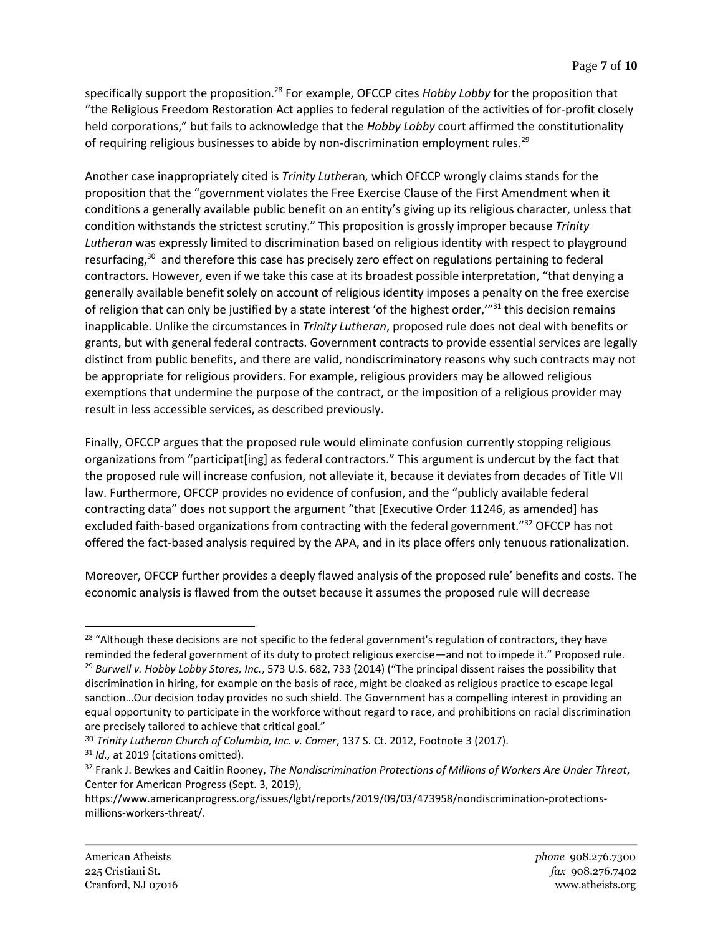specifically support the proposition.<sup>28</sup> For example, OFCCP cites *Hobby Lobby* for the proposition that "the Religious Freedom Restoration Act applies to federal regulation of the activities of for-profit closely held corporations," but fails to acknowledge that the *Hobby Lobby* court affirmed the constitutionality of requiring religious businesses to abide by non-discrimination employment rules.<sup>29</sup>

Another case inappropriately cited is *Trinity Luther*an*,* which OFCCP wrongly claims stands for the proposition that the "government violates the Free Exercise Clause of the First Amendment when it conditions a generally available public benefit on an entity's giving up its religious character, unless that condition withstands the strictest scrutiny." This proposition is grossly improper because *Trinity Lutheran* was expressly limited to discrimination based on religious identity with respect to playground resurfacing,<sup>30</sup> and therefore this case has precisely zero effect on regulations pertaining to federal contractors. However, even if we take this case at its broadest possible interpretation, "that denying a generally available benefit solely on account of religious identity imposes a penalty on the free exercise of religion that can only be justified by a state interest 'of the highest order,'"<sup>31</sup> this decision remains inapplicable. Unlike the circumstances in *Trinity Lutheran*, proposed rule does not deal with benefits or grants, but with general federal contracts. Government contracts to provide essential services are legally distinct from public benefits, and there are valid, nondiscriminatory reasons why such contracts may not be appropriate for religious providers. For example, religious providers may be allowed religious exemptions that undermine the purpose of the contract, or the imposition of a religious provider may result in less accessible services, as described previously.

Finally, OFCCP argues that the proposed rule would eliminate confusion currently stopping religious organizations from "participat[ing] as federal contractors." This argument is undercut by the fact that the proposed rule will increase confusion, not alleviate it, because it deviates from decades of Title VII law. Furthermore, OFCCP provides no evidence of confusion, and the "publicly available federal contracting data" does not support the argument "that [Executive Order 11246, as amended] has excluded faith-based organizations from contracting with the federal government."<sup>32</sup> OFCCP has not offered the fact-based analysis required by the APA, and in its place offers only tenuous rationalization.

Moreover, OFCCP further provides a deeply flawed analysis of the proposed rule' benefits and costs. The economic analysis is flawed from the outset because it assumes the proposed rule will decrease

<sup>&</sup>lt;sup>28</sup> "Although these decisions are not specific to the federal government's regulation of contractors, they have reminded the federal government of its duty to protect religious exercise—and not to impede it." Proposed rule. <sup>29</sup> *Burwell v. Hobby Lobby Stores, Inc.*, 573 U.S. 682, 733 (2014) ("The principal dissent raises the possibility that discrimination in hiring, for example on the basis of race, might be cloaked as religious practice to escape legal sanction…Our decision today provides no such shield. The Government has a compelling interest in providing an equal opportunity to participate in the workforce without regard to race, and prohibitions on racial discrimination are precisely tailored to achieve that critical goal."

<sup>30</sup> *Trinity Lutheran Church of Columbia, Inc. v. Comer*, 137 S. Ct. 2012, Footnote 3 (2017).

<sup>&</sup>lt;sup>31</sup> *Id.*, at 2019 (citations omitted).

<sup>32</sup> Frank J. Bewkes and Caitlin Rooney, *The Nondiscrimination Protections of Millions of Workers Are Under Threat*, Center for American Progress (Sept. 3, 2019),

https://www.americanprogress.org/issues/lgbt/reports/2019/09/03/473958/nondiscrimination-protectionsmillions-workers-threat/.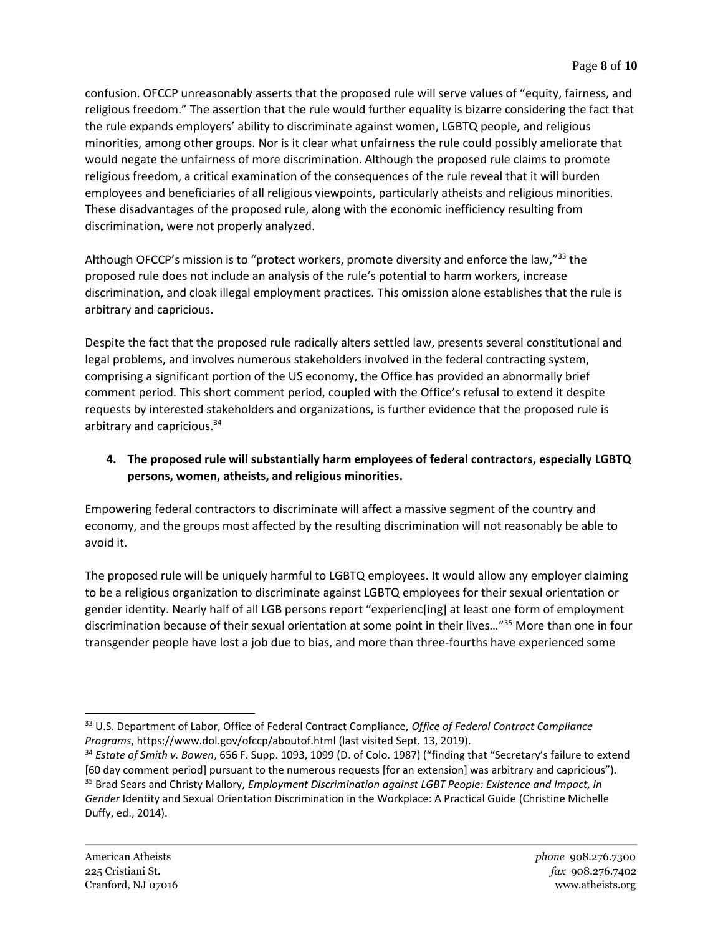confusion. OFCCP unreasonably asserts that the proposed rule will serve values of "equity, fairness, and religious freedom." The assertion that the rule would further equality is bizarre considering the fact that the rule expands employers' ability to discriminate against women, LGBTQ people, and religious minorities, among other groups. Nor is it clear what unfairness the rule could possibly ameliorate that would negate the unfairness of more discrimination. Although the proposed rule claims to promote religious freedom, a critical examination of the consequences of the rule reveal that it will burden employees and beneficiaries of all religious viewpoints, particularly atheists and religious minorities. These disadvantages of the proposed rule, along with the economic inefficiency resulting from discrimination, were not properly analyzed.

Although OFCCP's mission is to "protect workers, promote diversity and enforce the law,"<sup>33</sup> the proposed rule does not include an analysis of the rule's potential to harm workers, increase discrimination, and cloak illegal employment practices. This omission alone establishes that the rule is arbitrary and capricious.

Despite the fact that the proposed rule radically alters settled law, presents several constitutional and legal problems, and involves numerous stakeholders involved in the federal contracting system, comprising a significant portion of the US economy, the Office has provided an abnormally brief comment period. This short comment period, coupled with the Office's refusal to extend it despite requests by interested stakeholders and organizations, is further evidence that the proposed rule is arbitrary and capricious.<sup>34</sup>

## **4. The proposed rule will substantially harm employees of federal contractors, especially LGBTQ persons, women, atheists, and religious minorities.**

Empowering federal contractors to discriminate will affect a massive segment of the country and economy, and the groups most affected by the resulting discrimination will not reasonably be able to avoid it.

The proposed rule will be uniquely harmful to LGBTQ employees. It would allow any employer claiming to be a religious organization to discriminate against LGBTQ employees for their sexual orientation or gender identity. Nearly half of all LGB persons report "experienc[ing] at least one form of employment discrimination because of their sexual orientation at some point in their lives…"<sup>35</sup> More than one in four transgender people have lost a job due to bias, and more than three-fourths have experienced some

<sup>33</sup> U.S. Department of Labor, Office of Federal Contract Compliance, *Office of Federal Contract Compliance Programs*, https://www.dol.gov/ofccp/aboutof.html (last visited Sept. 13, 2019).

<sup>34</sup> *Estate of Smith v. Bowen*, 656 F. Supp. 1093, 1099 (D. of Colo. 1987) ("finding that "Secretary's failure to extend [60 day comment period] pursuant to the numerous requests [for an extension] was arbitrary and capricious"). <sup>35</sup> Brad Sears and Christy Mallory, *Employment Discrimination against LGBT People: Existence and Impact, in Gender* Identity and Sexual Orientation Discrimination in the Workplace: A Practical Guide (Christine Michelle Duffy, ed., 2014).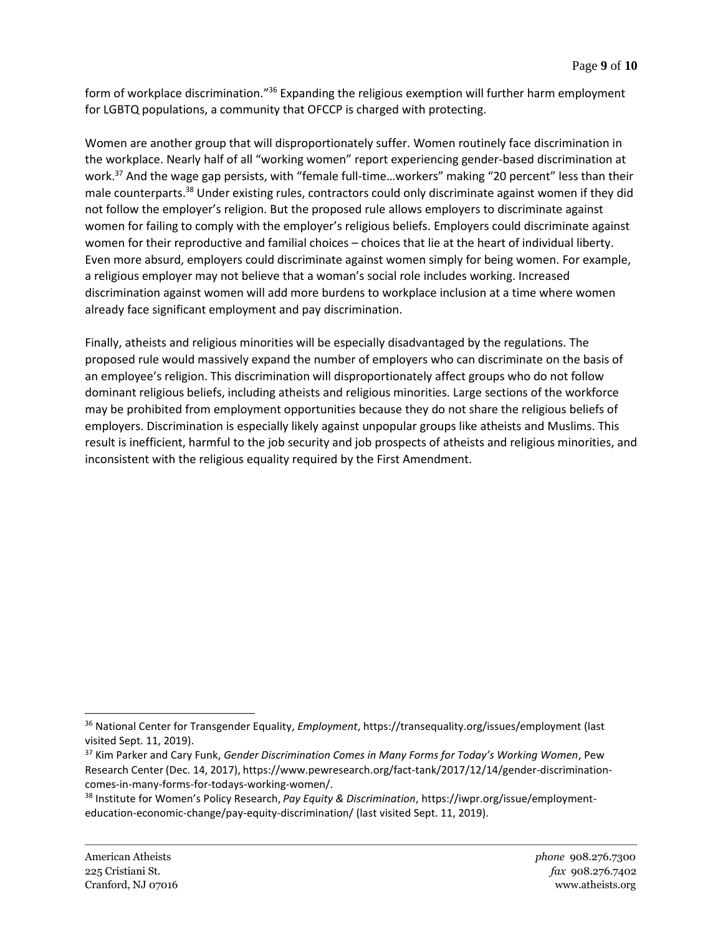form of workplace discrimination."<sup>36</sup> Expanding the religious exemption will further harm employment for LGBTQ populations, a community that OFCCP is charged with protecting.

Women are another group that will disproportionately suffer. Women routinely face discrimination in the workplace. Nearly half of all "working women" report experiencing gender-based discrimination at work.<sup>37</sup> And the wage gap persists, with "female full-time...workers" making "20 percent" less than their male counterparts.<sup>38</sup> Under existing rules, contractors could only discriminate against women if they did not follow the employer's religion. But the proposed rule allows employers to discriminate against women for failing to comply with the employer's religious beliefs. Employers could discriminate against women for their reproductive and familial choices – choices that lie at the heart of individual liberty. Even more absurd, employers could discriminate against women simply for being women. For example, a religious employer may not believe that a woman's social role includes working. Increased discrimination against women will add more burdens to workplace inclusion at a time where women already face significant employment and pay discrimination.

Finally, atheists and religious minorities will be especially disadvantaged by the regulations. The proposed rule would massively expand the number of employers who can discriminate on the basis of an employee's religion. This discrimination will disproportionately affect groups who do not follow dominant religious beliefs, including atheists and religious minorities. Large sections of the workforce may be prohibited from employment opportunities because they do not share the religious beliefs of employers. Discrimination is especially likely against unpopular groups like atheists and Muslims. This result is inefficient, harmful to the job security and job prospects of atheists and religious minorities, and inconsistent with the religious equality required by the First Amendment.

<sup>36</sup> National Center for Transgender Equality, *Employment*, https://transequality.org/issues/employment (last visited Sept. 11, 2019).

<sup>37</sup> Kim Parker and Cary Funk, *Gender Discrimination Comes in Many Forms for Today's Working Women*, Pew Research Center (Dec. 14, 2017), https://www.pewresearch.org/fact-tank/2017/12/14/gender-discriminationcomes-in-many-forms-for-todays-working-women/.

<sup>38</sup> Institute for Women's Policy Research, *Pay Equity & Discrimination*, https://iwpr.org/issue/employmenteducation-economic-change/pay-equity-discrimination/ (last visited Sept. 11, 2019).